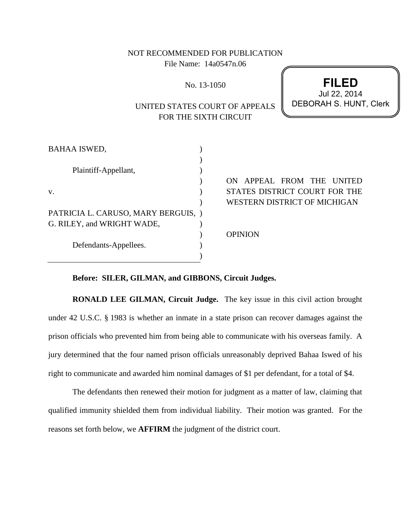## NOT RECOMMENDED FOR PUBLICATION File Name: 14a0547n.06

No. 13-1050

# UNITED STATES COURT OF APPEALS FOR THE SIXTH CIRCUIT

**FILED** DEBORAH S. HUNT, Clerk Jul 22, 2014

| ON               |  |
|------------------|--|
| STA <sup>-</sup> |  |
| WES              |  |
|                  |  |
|                  |  |
|                  |  |
|                  |  |

## APPEAL FROM THE UNITED TES DISTRICT COURT FOR THE TERN DISTRICT OF MICHIGAN

**NON** 

## **Before: SILER, GILMAN, and GIBBONS, Circuit Judges.**

**RONALD LEE GILMAN, Circuit Judge.** The key issue in this civil action brought under 42 U.S.C. § 1983 is whether an inmate in a state prison can recover damages against the prison officials who prevented him from being able to communicate with his overseas family. A jury determined that the four named prison officials unreasonably deprived Bahaa Iswed of his right to communicate and awarded him nominal damages of \$1 per defendant, for a total of \$4.

The defendants then renewed their motion for judgment as a matter of law, claiming that qualified immunity shielded them from individual liability. Their motion was granted. For the reasons set forth below, we **AFFIRM** the judgment of the district court.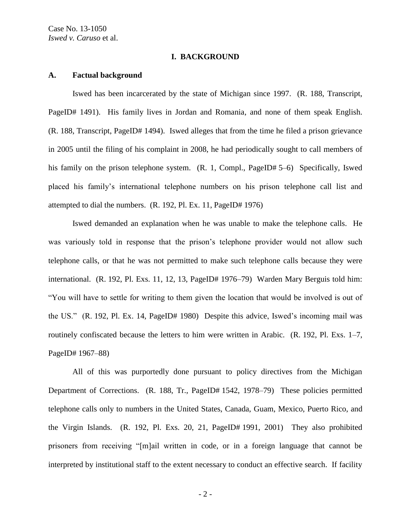Case No. 13-1050 *Iswed v. Caruso* et al.

#### **I. BACKGROUND**

### **A. Factual background**

Iswed has been incarcerated by the state of Michigan since 1997. (R. 188, Transcript, PageID# 1491). His family lives in Jordan and Romania, and none of them speak English. (R. 188, Transcript, PageID# 1494). Iswed alleges that from the time he filed a prison grievance in 2005 until the filing of his complaint in 2008, he had periodically sought to call members of his family on the prison telephone system. (R. 1, Compl., PageID# 5–6) Specifically, Iswed placed his family's international telephone numbers on his prison telephone call list and attempted to dial the numbers. (R. 192, Pl. Ex. 11, PageID# 1976)

Iswed demanded an explanation when he was unable to make the telephone calls. He was variously told in response that the prison's telephone provider would not allow such telephone calls, or that he was not permitted to make such telephone calls because they were international. (R. 192, Pl. Exs. 11, 12, 13, PageID# 1976–79) Warden Mary Berguis told him: "You will have to settle for writing to them given the location that would be involved is out of the US." (R. 192, Pl. Ex. 14, PageID# 1980) Despite this advice, Iswed's incoming mail was routinely confiscated because the letters to him were written in Arabic. (R. 192, Pl. Exs. 1–7, PageID# 1967–88)

All of this was purportedly done pursuant to policy directives from the Michigan Department of Corrections. (R. 188, Tr., PageID# 1542, 1978–79) These policies permitted telephone calls only to numbers in the United States, Canada, Guam, Mexico, Puerto Rico, and the Virgin Islands. (R. 192, Pl. Exs. 20, 21, PageID# 1991, 2001) They also prohibited prisoners from receiving "[m]ail written in code, or in a foreign language that cannot be interpreted by institutional staff to the extent necessary to conduct an effective search. If facility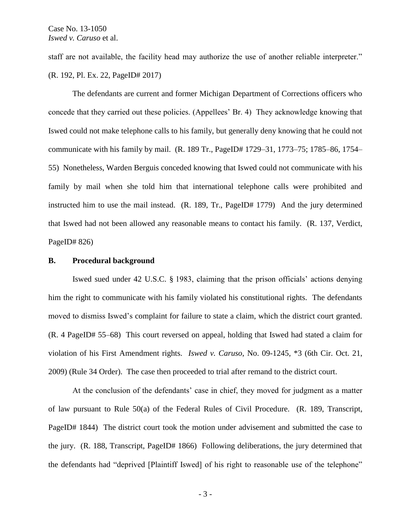staff are not available, the facility head may authorize the use of another reliable interpreter." (R. 192, Pl. Ex. 22, PageID# 2017)

The defendants are current and former Michigan Department of Corrections officers who concede that they carried out these policies. (Appellees' Br. 4) They acknowledge knowing that Iswed could not make telephone calls to his family, but generally deny knowing that he could not communicate with his family by mail. (R. 189 Tr., PageID# 1729–31, 1773–75; 1785–86, 1754– 55) Nonetheless, Warden Berguis conceded knowing that Iswed could not communicate with his family by mail when she told him that international telephone calls were prohibited and instructed him to use the mail instead. (R. 189, Tr., PageID# 1779) And the jury determined that Iswed had not been allowed any reasonable means to contact his family. (R. 137, Verdict, PageID# 826)

#### **B. Procedural background**

Iswed sued under 42 U.S.C. § 1983, claiming that the prison officials' actions denying him the right to communicate with his family violated his constitutional rights. The defendants moved to dismiss Iswed's complaint for failure to state a claim, which the district court granted. (R. 4 PageID# 55–68) This court reversed on appeal, holding that Iswed had stated a claim for violation of his First Amendment rights. *Iswed v. Caruso*, No. 09-1245, \*3 (6th Cir. Oct. 21, 2009) (Rule 34 Order). The case then proceeded to trial after remand to the district court.

At the conclusion of the defendants' case in chief, they moved for judgment as a matter of law pursuant to Rule 50(a) of the Federal Rules of Civil Procedure. (R. 189, Transcript, PageID# 1844) The district court took the motion under advisement and submitted the case to the jury. (R. 188, Transcript, PageID# 1866) Following deliberations, the jury determined that the defendants had "deprived [Plaintiff Iswed] of his right to reasonable use of the telephone"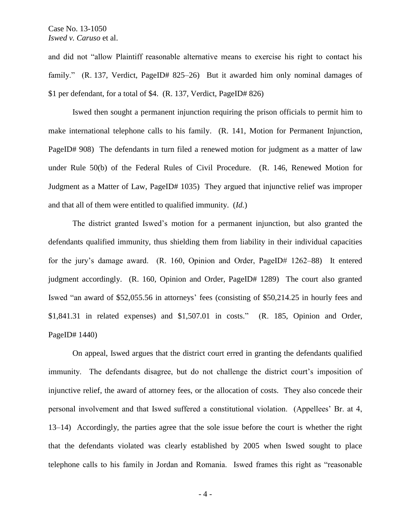and did not "allow Plaintiff reasonable alternative means to exercise his right to contact his family." (R. 137, Verdict, PageID# 825–26) But it awarded him only nominal damages of \$1 per defendant, for a total of \$4. (R. 137, Verdict, PageID# 826)

Iswed then sought a permanent injunction requiring the prison officials to permit him to make international telephone calls to his family. (R. 141, Motion for Permanent Injunction, PageID# 908) The defendants in turn filed a renewed motion for judgment as a matter of law under Rule 50(b) of the Federal Rules of Civil Procedure. (R. 146, Renewed Motion for Judgment as a Matter of Law, PageID# 1035) They argued that injunctive relief was improper and that all of them were entitled to qualified immunity. (*Id.*)

The district granted Iswed's motion for a permanent injunction, but also granted the defendants qualified immunity, thus shielding them from liability in their individual capacities for the jury's damage award. (R. 160, Opinion and Order, PageID# 1262–88) It entered judgment accordingly. (R. 160, Opinion and Order, PageID# 1289) The court also granted Iswed "an award of \$52,055.56 in attorneys' fees (consisting of \$50,214.25 in hourly fees and \$1,841.31 in related expenses) and \$1,507.01 in costs." (R. 185, Opinion and Order, PageID# 1440)

On appeal, Iswed argues that the district court erred in granting the defendants qualified immunity. The defendants disagree, but do not challenge the district court's imposition of injunctive relief, the award of attorney fees, or the allocation of costs. They also concede their personal involvement and that Iswed suffered a constitutional violation. (Appellees' Br. at 4, 13–14) Accordingly, the parties agree that the sole issue before the court is whether the right that the defendants violated was clearly established by 2005 when Iswed sought to place telephone calls to his family in Jordan and Romania. Iswed frames this right as "reasonable

- 4 -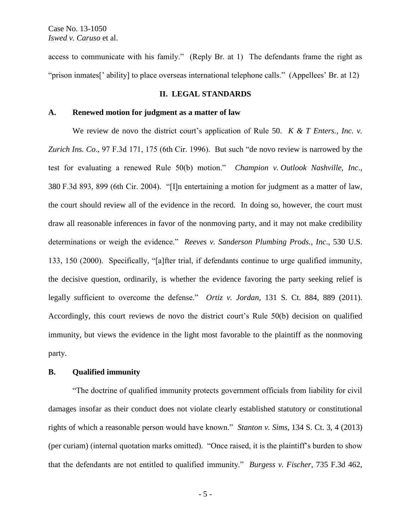access to communicate with his family." (Reply Br. at 1) The defendants frame the right as "prison inmates<sup>"</sup> ability] to place overseas international telephone calls." (Appellees' Br. at 12)

## **II. LEGAL STANDARDS**

#### **A. Renewed motion for judgment as a matter of law**

We review de novo the district court's application of Rule 50. *K & T Enters., Inc. v. Zurich Ins. Co*., 97 F.3d 171, 175 (6th Cir. 1996). But such "de novo review is narrowed by the test for evaluating a renewed Rule 50(b) motion." *Champion v. Outlook Nashville, Inc*., 380 F.3d 893, 899 (6th Cir. 2004). "[I]n entertaining a motion for judgment as a matter of law, the court should review all of the evidence in the record. In doing so, however, the court must draw all reasonable inferences in favor of the nonmoving party, and it may not make credibility determinations or weigh the evidence." *Reeves v. Sanderson Plumbing Prods., Inc*., 530 U.S. 133, 150 (2000). Specifically, "[a]fter trial, if defendants continue to urge qualified immunity, the decisive question, ordinarily, is whether the evidence favoring the party seeking relief is legally sufficient to overcome the defense." *Ortiz v. Jordan*, 131 S. Ct. 884, 889 (2011). Accordingly, this court reviews de novo the district court's Rule 50(b) decision on qualified immunity, but views the evidence in the light most favorable to the plaintiff as the nonmoving party.

### **B. Qualified immunity**

"The doctrine of qualified immunity protects government officials from liability for civil damages insofar as their conduct does not violate clearly established statutory or constitutional rights of which a reasonable person would have known." *Stanton v. Sims*, 134 S. Ct. 3, 4 (2013) (per curiam) (internal quotation marks omitted). "Once raised, it is the plaintiff's burden to show that the defendants are not entitled to qualified immunity." *Burgess v. Fischer*, 735 F.3d 462,

- 5 -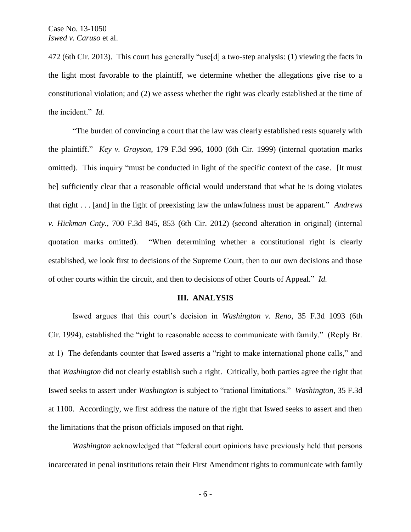472 (6th Cir. 2013). This court has generally "use[d] a two-step analysis: (1) viewing the facts in the light most favorable to the plaintiff, we determine whether the allegations give rise to a constitutional violation; and (2) we assess whether the right was clearly established at the time of the incident." *Id.*

"The burden of convincing a court that the law was clearly established rests squarely with the plaintiff." *Key v. Grayson*, 179 F.3d 996, 1000 (6th Cir. 1999) (internal quotation marks omitted). This inquiry "must be conducted in light of the specific context of the case. [It must be] sufficiently clear that a reasonable official would understand that what he is doing violates that right . . . [and] in the light of preexisting law the unlawfulness must be apparent." *Andrews v. Hickman Cnty.*, 700 F.3d 845, 853 (6th Cir. 2012) (second alteration in original) (internal quotation marks omitted). "When determining whether a constitutional right is clearly established, we look first to decisions of the Supreme Court, then to our own decisions and those of other courts within the circuit, and then to decisions of other Courts of Appeal." *Id.*

#### **III. ANALYSIS**

Iswed argues that this court's decision in *Washington v. Reno*, 35 F.3d 1093 (6th Cir. 1994), established the "right to reasonable access to communicate with family." (Reply Br. at 1) The defendants counter that Iswed asserts a "right to make international phone calls," and that *Washington* did not clearly establish such a right. Critically, both parties agree the right that Iswed seeks to assert under *Washington* is subject to "rational limitations." *Washington*, 35 F.3d at 1100. Accordingly, we first address the nature of the right that Iswed seeks to assert and then the limitations that the prison officials imposed on that right.

*Washington* acknowledged that "federal court opinions have previously held that persons incarcerated in penal institutions retain their First Amendment rights to communicate with family

- 6 -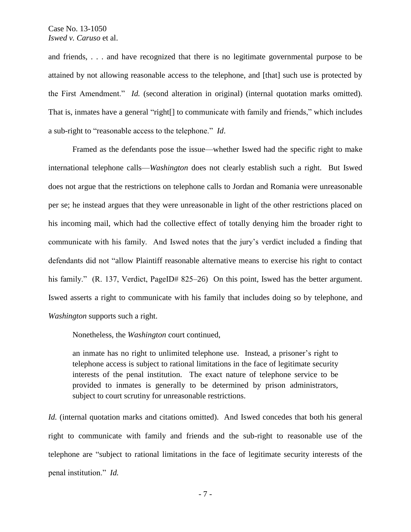and friends, . . . and have recognized that there is no legitimate governmental purpose to be attained by not allowing reasonable access to the telephone, and [that] such use is protected by the First Amendment." *Id.* (second alteration in original) (internal quotation marks omitted). That is, inmates have a general "right[] to communicate with family and friends," which includes a sub-right to "reasonable access to the telephone." *Id*.

Framed as the defendants pose the issue—whether Iswed had the specific right to make international telephone calls—*Washington* does not clearly establish such a right. But Iswed does not argue that the restrictions on telephone calls to Jordan and Romania were unreasonable per se; he instead argues that they were unreasonable in light of the other restrictions placed on his incoming mail, which had the collective effect of totally denying him the broader right to communicate with his family. And Iswed notes that the jury's verdict included a finding that defendants did not "allow Plaintiff reasonable alternative means to exercise his right to contact his family." (R. 137, Verdict, PageID# 825–26) On this point, Iswed has the better argument. Iswed asserts a right to communicate with his family that includes doing so by telephone, and *Washington* supports such a right.

Nonetheless, the *Washington* court continued,

an inmate has no right to unlimited telephone use. Instead, a prisoner's right to telephone access is subject to rational limitations in the face of legitimate security interests of the penal institution. The exact nature of telephone service to be provided to inmates is generally to be determined by prison administrators, subject to court scrutiny for unreasonable restrictions.

*Id.* (internal quotation marks and citations omitted). And Iswed concedes that both his general right to communicate with family and friends and the sub-right to reasonable use of the telephone are "subject to rational limitations in the face of legitimate security interests of the penal institution." *Id.*

- 7 -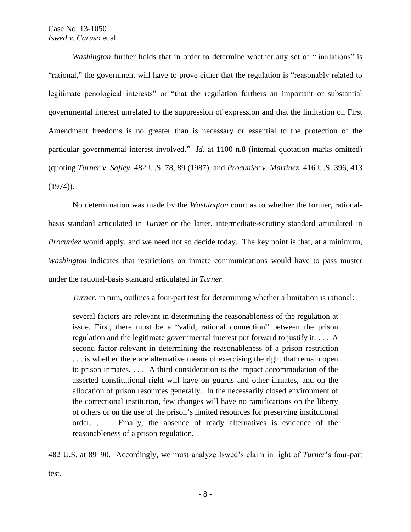Case No. 13-1050 *Iswed v. Caruso* et al.

*Washington* further holds that in order to determine whether any set of "limitations" is "rational," the government will have to prove either that the regulation is "reasonably related to legitimate penological interests" or "that the regulation furthers an important or substantial governmental interest unrelated to the suppression of expression and that the limitation on First Amendment freedoms is no greater than is necessary or essential to the protection of the particular governmental interest involved." *Id.* at 1100 n.8 (internal quotation marks omitted) (quoting *Turner v. Safley,* 482 U.S. 78, 89 (1987), and *Procunier v. Martinez,* 416 U.S. 396, 413 (1974)).

No determination was made by the *Washington* court as to whether the former, rationalbasis standard articulated in *Turner* or the latter, intermediate-scrutiny standard articulated in *Procunier* would apply, and we need not so decide today. The key point is that, at a minimum, *Washington* indicates that restrictions on inmate communications would have to pass muster under the rational-basis standard articulated in *Turner*.

*Turner*, in turn, outlines a four-part test for determining whether a limitation is rational:

several factors are relevant in determining the reasonableness of the regulation at issue. First, there must be a "valid, rational connection" between the prison regulation and the legitimate governmental interest put forward to justify it. . . . A second factor relevant in determining the reasonableness of a prison restriction ... is whether there are alternative means of exercising the right that remain open to prison inmates. . . . A third consideration is the impact accommodation of the asserted constitutional right will have on guards and other inmates, and on the allocation of prison resources generally. In the necessarily closed environment of the correctional institution, few changes will have no ramifications on the liberty of others or on the use of the prison's limited resources for preserving institutional order. . . . Finally, the absence of ready alternatives is evidence of the reasonableness of a prison regulation.

482 U.S. at 89–90. Accordingly, we must analyze Iswed's claim in light of *Turner*'s four-part test.